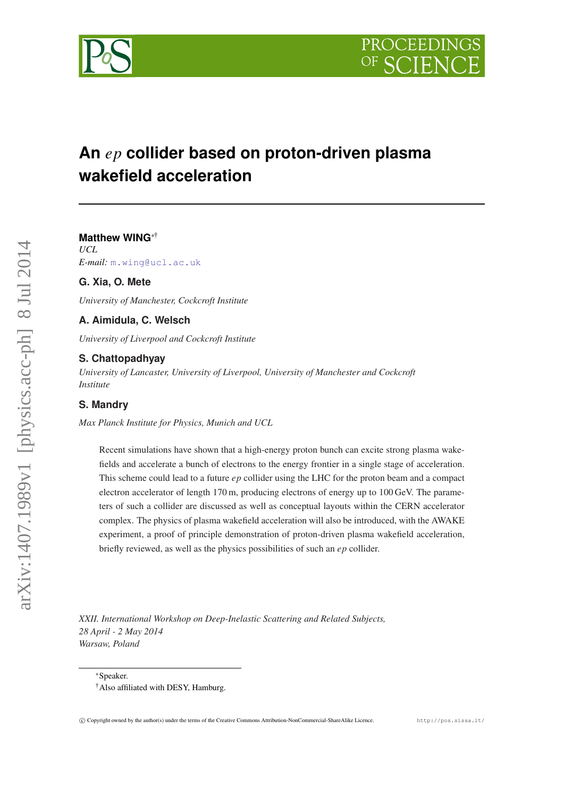

# **An** *ep* **collider based on proton-driven plasma wakefield acceleration**

**Matthew WING**∗† *UCL E-mail:* [m.wing@ucl.ac.uk](mailto:m.wing@ucl.ac.uk)

# **G. Xia, O. Mete**

*University of Manchester, Cockcroft Institute*

# **A. Aimidula, C. Welsch**

*University of Liverpool and Cockcroft Institute*

## **S. Chattopadhyay**

*University of Lancaster, University of Liverpool, University of Manchester and Cockcroft Institute*

# **S. Mandry**

*Max Planck Institute for Physics, Munich and UCL*

Recent simulations have shown that a high-energy proton bunch can excite strong plasma wakefields and accelerate a bunch of electrons to the energy frontier in a single stage of acceleration. This scheme could lead to a future *ep* collider using the LHC for the proton beam and a compact electron accelerator of length 170 m, producing electrons of energy up to 100 GeV. The parameters of such a collider are discussed as well as conceptual layouts within the CERN accelerator complex. The physics of plasma wakefield acceleration will also be introduced, with the AWAKE experiment, a proof of principle demonstration of proton-driven plasma wakefield acceleration, briefly reviewed, as well as the physics possibilities of such an *ep* collider.

*XXII. International Workshop on Deep-Inelastic Scattering and Related Subjects, 28 April - 2 May 2014 Warsaw, Poland*

<sup>∗</sup>Speaker.

<sup>†</sup>Also affiliated with DESY, Hamburg.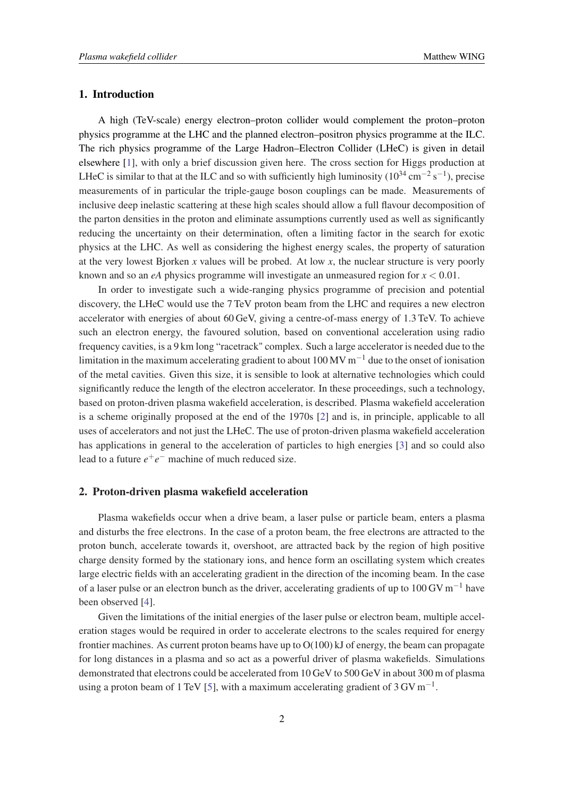#### 1. Introduction

A high (TeV-scale) energy electron–proton collider would complement the proton–proton physics programme at the LHC and the planned electron–positron physics programme at the ILC. The rich physics programme of the Large Hadron–Electron Collider (LHeC) is given in detail elsewhere [[1](#page-5-0)], with only a brief discussion given here. The cross section for Higgs production at LHeC is similar to that at the ILC and so with sufficiently high luminosity ( $10^{34}$  cm<sup>-2</sup> s<sup>-1</sup>), precise measurements of in particular the triple-gauge boson couplings can be made. Measurements of inclusive deep inelastic scattering at these high scales should allow a full flavour decomposition of the parton densities in the proton and eliminate assumptions currently used as well as significantly reducing the uncertainty on their determination, often a limiting factor in the search for exotic physics at the LHC. As well as considering the highest energy scales, the property of saturation at the very lowest Bjorken *x* values will be probed. At low *x*, the nuclear structure is very poorly known and so an  $eA$  physics programme will investigate an unmeasured region for  $x < 0.01$ .

In order to investigate such a wide-ranging physics programme of precision and potential discovery, the LHeC would use the 7 TeV proton beam from the LHC and requires a new electron accelerator with energies of about 60 GeV, giving a centre-of-mass energy of 1.3 TeV. To achieve such an electron energy, the favoured solution, based on conventional acceleration using radio frequency cavities, is a 9 km long "racetrack" complex. Such a large accelerator is needed due to the limitation in the maximum accelerating gradient to about  $100 \,\mathrm{MV\,m^{-1}}$  due to the onset of ionisation of the metal cavities. Given this size, it is sensible to look at alternative technologies which could significantly reduce the length of the electron accelerator. In these proceedings, such a technology, based on proton-driven plasma wakefield acceleration, is described. Plasma wakefield acceleration is a scheme originally proposed at the end of the 1970s [\[2\]](#page-5-0) and is, in principle, applicable to all uses of accelerators and not just the LHeC. The use of proton-driven plasma wakefield acceleration has applications in general to the acceleration of particles to high energies [[3](#page-5-0)] and so could also lead to a future  $e^+e^-$  machine of much reduced size.

## 2. Proton-driven plasma wakefield acceleration

Plasma wakefields occur when a drive beam, a laser pulse or particle beam, enters a plasma and disturbs the free electrons. In the case of a proton beam, the free electrons are attracted to the proton bunch, accelerate towards it, overshoot, are attracted back by the region of high positive charge density formed by the stationary ions, and hence form an oscillating system which creates large electric fields with an accelerating gradient in the direction of the incoming beam. In the case of a laser pulse or an electron bunch as the driver, accelerating gradients of up to 100 GV  $\text{m}^{-1}$  have been observed [\[4\]](#page-5-0).

Given the limitations of the initial energies of the laser pulse or electron beam, multiple acceleration stages would be required in order to accelerate electrons to the scales required for energy frontier machines. As current proton beams have up to  $O(100)$  kJ of energy, the beam can propagate for long distances in a plasma and so act as a powerful driver of plasma wakefields. Simulations demonstrated that electrons could be accelerated from 10 GeV to 500 GeV in about 300 m of plasma using a proton beam of 1 TeV [[5](#page-5-0)], with a maximum accelerating gradient of 3 GV m<sup>-1</sup>.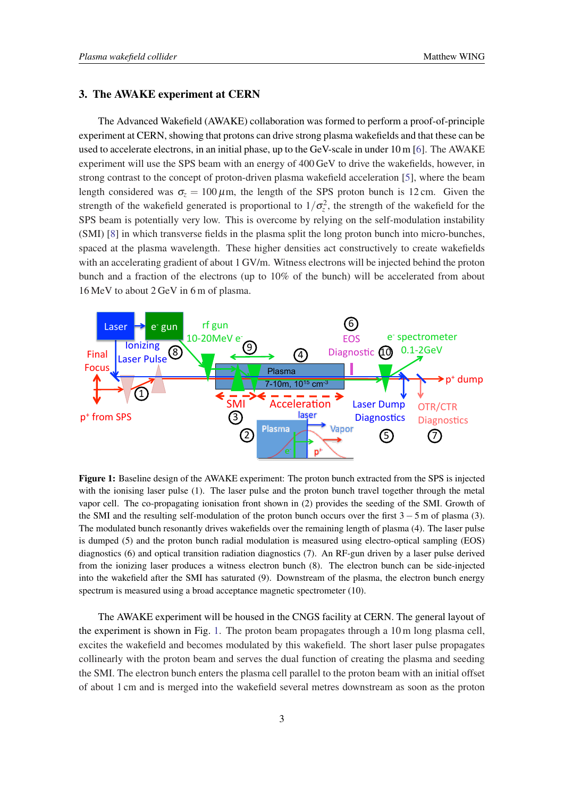#### 3. The AWAKE experiment at CERN

The Advanced Wakefield (AWAKE) collaboration was formed to perform a proof-of-principle experiment at CERN, showing that protons can drive strong plasma wakefields and that these can be used to accelerate electrons, in an initial phase, up to the GeV-scale in under 10 m [\[6\]](#page-5-0). The AWAKE experiment will use the SPS beam with an energy of 400 GeV to drive the wakefields, however, in strong contrast to the concept of proton-driven plasma wakefield acceleration [[5](#page-5-0)], where the beam length considered was  $\sigma_z = 100 \,\mu\text{m}$ , the length of the SPS proton bunch is 12 cm. Given the strength of the wakefield generated is proportional to  $1/\sigma_z^2$ , the strength of the wakefield for the SPS beam is potentially very low. This is overcome by relying on the self-modulation instability (SMI) [\[8\]](#page-5-0) in which transverse fields in the plasma split the long proton bunch into micro-bunches, spaced at the plasma wavelength. These higher densities act constructively to create wakefields with an accelerating gradient of about 1 GV/m. Witness electrons will be injected behind the proton bunch and a fraction of the electrons (up to 10% of the bunch) will be accelerated from about 16 MeV to about 2 GeV in 6 m of plasma.



 $\Gamma_{\text{GUPM}}^{\text{GUPM}}$  1. Becaling decise of the AWAVE experiment: The nuction bungh extredition the SBS is injected Figure 1: Baseline design of the AWAKE experiment: The proton bunch extracted from the SPS is injected with the ionising laser pulse (1). The laser pulse and the proton bunch travel together through the metal vapor cell. The co-propagating ionisation front shown in (2) provides the seeding of the SMI. Growth of the SMI and the resulting self-modulation of the proton bunch occurs over the first  $3 - 5$  m of plasma (3). The modulated bunch resonantly drives wakefields over the remaining length of plasma (4). The laser pulse The moderation resoluting drives waterfored over the remaining tength or plasma (1). The reset Passe is dumped (5) and the proton bunch radial modulation is measured using electro-optical sampling (EOS) diagnostics (6) and optical transition radiation diagnostics (7). An RF-gun driven by a laser pulse derived from the ionizing laser produces a witness electron bunch (8). The electron bunch can be side-injected into the wakefield after the SMI has saturated (9). Downstream of the plasma, the electron bunch energy spectrum is measured using a broad acceptance magnetic spectrometer (10).

The AWAKE experiment will be housed in the CNGS facility at CERN. The general layout of the experiment is shown in Fig. 1. The proton beam propagates through a 10 m long plasma cell, excites the wakefield and becomes modulated by this wakefield. The short laser pulse propagates collinearly with the proton beam and serves the dual function of creating the plasma and seeding the SMI. The electron bunch enters the plasma cell parallel to the proton beam with an initial offset of about 1 cm and is merged into the wakefield several metres downstream as soon as the proton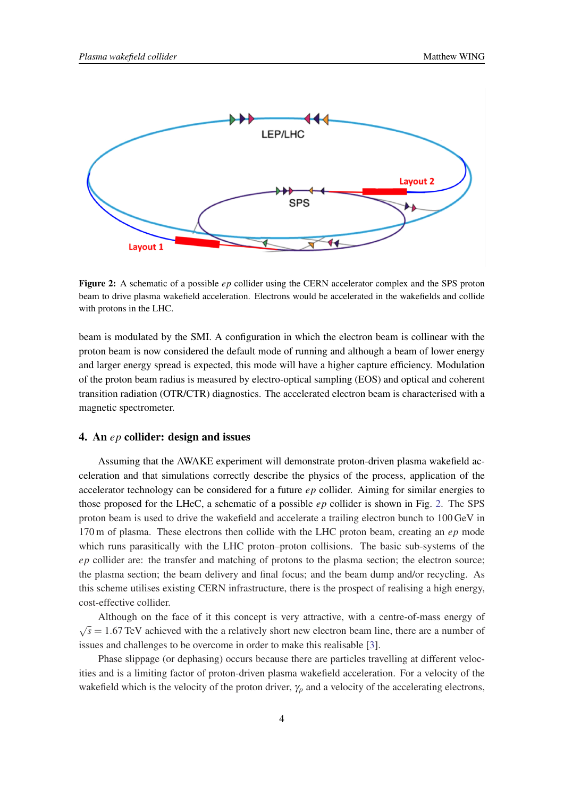

Figure 2: A schematic of a possible *ep* collider using the CERN accelerator complex and the SPS proton beam to drive plasma wakefield acceleration. Electrons would be accelerated in the wakefields and collide with protons in the LHC.

beam is modulated by the SMI. A configuration in which the electron beam is collinear with the proton beam is now considered the default mode of running and although a beam of lower energy and larger energy spread is expected, this mode will have a higher capture efficiency. Modulation of the proton beam radius is measured by electro-optical sampling (EOS) and optical and coherent transition radiation (OTR/CTR) diagnostics. The accelerated electron beam is characterised with a magnetic spectrometer.

#### 4. An *ep* collider: design and issues

Assuming that the AWAKE experiment will demonstrate proton-driven plasma wakefield acceleration and that simulations correctly describe the physics of the process, application of the accelerator technology can be considered for a future *ep* collider. Aiming for similar energies to those proposed for the LHeC, a schematic of a possible *ep* collider is shown in Fig. 2. The SPS proton beam is used to drive the wakefield and accelerate a trailing electron bunch to 100 GeV in 170 m of plasma. These electrons then collide with the LHC proton beam, creating an *ep* mode which runs parasitically with the LHC proton–proton collisions. The basic sub-systems of the *ep* collider are: the transfer and matching of protons to the plasma section; the electron source; the plasma section; the beam delivery and final focus; and the beam dump and/or recycling. As this scheme utilises existing CERN infrastructure, there is the prospect of realising a high energy, cost-effective collider.

Although on the face of it this concept is very attractive, with a centre-of-mass energy of √  $\sqrt{s}$  = 1.67 TeV achieved with the a relatively short new electron beam line, there are a number of issues and challenges to be overcome in order to make this realisable [\[3\]](#page-5-0).

Phase slippage (or dephasing) occurs because there are particles travelling at different velocities and is a limiting factor of proton-driven plasma wakefield acceleration. For a velocity of the wakefield which is the velocity of the proton driver,  $\gamma_p$  and a velocity of the accelerating electrons,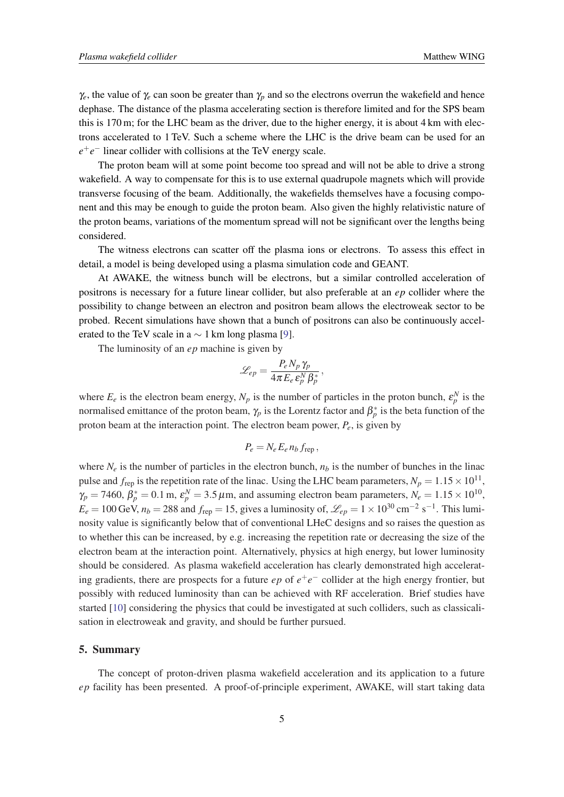$\gamma_e$ , the value of  $\gamma_e$  can soon be greater than  $\gamma_p$  and so the electrons overrun the wakefield and hence dephase. The distance of the plasma accelerating section is therefore limited and for the SPS beam this is 170 m; for the LHC beam as the driver, due to the higher energy, it is about 4 km with electrons accelerated to 1 TeV. Such a scheme where the LHC is the drive beam can be used for an *e*<sup>+</sup>*e*<sup>−</sup> linear collider with collisions at the TeV energy scale.

The proton beam will at some point become too spread and will not be able to drive a strong wakefield. A way to compensate for this is to use external quadrupole magnets which will provide transverse focusing of the beam. Additionally, the wakefields themselves have a focusing component and this may be enough to guide the proton beam. Also given the highly relativistic nature of the proton beams, variations of the momentum spread will not be significant over the lengths being considered.

The witness electrons can scatter off the plasma ions or electrons. To assess this effect in detail, a model is being developed using a plasma simulation code and GEANT.

At AWAKE, the witness bunch will be electrons, but a similar controlled acceleration of positrons is necessary for a future linear collider, but also preferable at an *ep* collider where the possibility to change between an electron and positron beam allows the electroweak sector to be probed. Recent simulations have shown that a bunch of positrons can also be continuously accelerated to the TeV scale in a  $\sim$  1 km long plasma [\[9\]](#page-5-0).

The luminosity of an *ep* machine is given by

$$
\mathscr{L}_{ep}=\frac{P_e N_p \,\gamma_p}{4\pi\,E_e\,\mathcal{E}^N_p\,\beta^*_p}\,,
$$

where  $E_e$  is the electron beam energy,  $N_p$  is the number of particles in the proton bunch,  $\varepsilon_p^N$  is the normalised emittance of the proton beam,  $\gamma_p$  is the Lorentz factor and  $\beta_p^*$  is the beta function of the proton beam at the interaction point. The electron beam power, *Pe*, is given by

$$
P_e = N_e E_e n_b f_{\rm rep},
$$

where  $N_e$  is the number of particles in the electron bunch,  $n_b$  is the number of bunches in the linac pulse and  $f_{\text{rep}}$  is the repetition rate of the linac. Using the LHC beam parameters,  $N_p = 1.15 \times 10^{11}$ ,  $\gamma_p = 7460$ ,  $\beta_p^* = 0.1$  m,  $\varepsilon_p^N = 3.5 \,\mu$ m, and assuming electron beam parameters,  $N_e = 1.15 \times 10^{10}$ ,  $E_e = 100$  GeV,  $n_b = 288$  and  $f_{rep} = 15$ , gives a luminosity of,  $\mathscr{L}_{ep} = 1 \times 10^{30}$  cm<sup>-2</sup> s<sup>-1</sup>. This luminosity value is significantly below that of conventional LHeC designs and so raises the question as to whether this can be increased, by e.g. increasing the repetition rate or decreasing the size of the electron beam at the interaction point. Alternatively, physics at high energy, but lower luminosity should be considered. As plasma wakefield acceleration has clearly demonstrated high accelerating gradients, there are prospects for a future  $ep$  of  $e^+e^-$  collider at the high energy frontier, but possibly with reduced luminosity than can be achieved with RF acceleration. Brief studies have started [[10\]](#page-5-0) considering the physics that could be investigated at such colliders, such as classicalisation in electroweak and gravity, and should be further pursued.

#### 5. Summary

The concept of proton-driven plasma wakefield acceleration and its application to a future *ep* facility has been presented. A proof-of-principle experiment, AWAKE, will start taking data